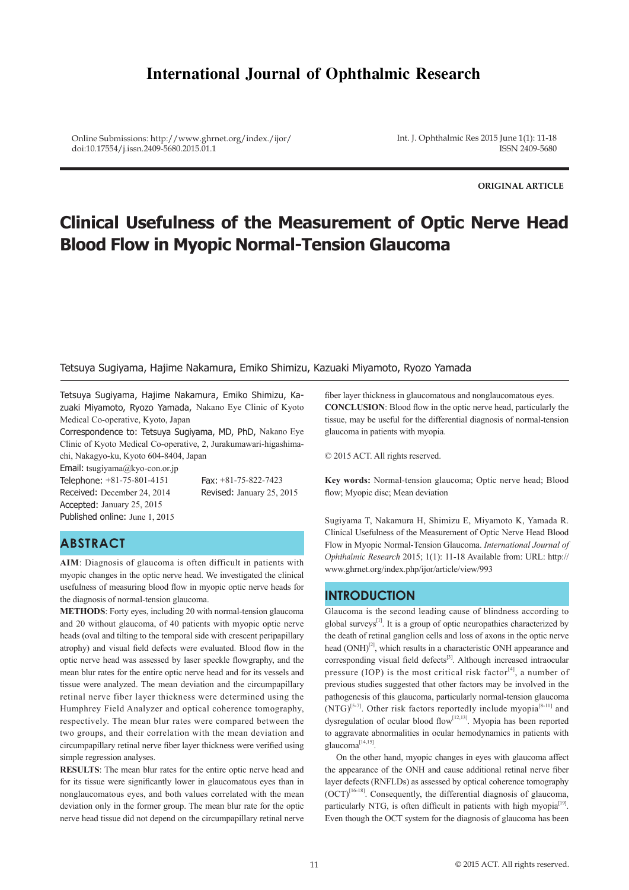# **International Journal of Ophthalmic Research**

Online Submissions: http://www.ghrnet.org/index./ijor/ doi:10.17554/j.issn.2409-5680.2015.01.1

Int. J. Ophthalmic Res 2015 June 1(1): 11-18 ISSN 2409-5680

**ORIGINAL ARTICLE**

# **Clinical Usefulness of the Measurement of Optic Nerve Head Blood Flow in Myopic Normal-Tension Glaucoma**

### Tetsuya Sugiyama, Hajime Nakamura, Emiko Shimizu, Kazuaki Miyamoto, Ryozo Yamada

Tetsuya Sugiyama, Hajime Nakamura, Emiko Shimizu, Kazuaki Miyamoto, Ryozo Yamada, Nakano Eye Clinic of Kyoto Medical Co-operative, Kyoto, Japan

Correspondence to: Tetsuya Sugiyama, MD, PhD, Nakano Eye Clinic of Kyoto Medical Co-operative, 2, Jurakumawari-higashimachi, Nakagyo-ku, Kyoto 604-8404, Japan

Email: tsugiyama@kyo-con.or.jp

Telephone:  $+81-75-801-4151$  Fax:  $+81-75-822-7423$ Received: December 24, 2014 Revised: January 25, 2015 Accepted: January 25, 2015 Published online: June 1, 2015

## **ABSTRACT**

**AIM**: Diagnosis of glaucoma is often difficult in patients with myopic changes in the optic nerve head. We investigated the clinical usefulness of measuring blood flow in myopic optic nerve heads for the diagnosis of normal-tension glaucoma.

**METHODS**: Forty eyes, including 20 with normal-tension glaucoma and 20 without glaucoma, of 40 patients with myopic optic nerve heads (oval and tilting to the temporal side with crescent peripapillary atrophy) and visual field defects were evaluated. Blood flow in the optic nerve head was assessed by laser speckle flowgraphy, and the mean blur rates for the entire optic nerve head and for its vessels and tissue were analyzed. The mean deviation and the circumpapillary retinal nerve fiber layer thickness were determined using the Humphrey Field Analyzer and optical coherence tomography, respectively. The mean blur rates were compared between the two groups, and their correlation with the mean deviation and circumpapillary retinal nerve fiber layer thickness were verified using simple regression analyses.

**RESULTS**: The mean blur rates for the entire optic nerve head and for its tissue were significantly lower in glaucomatous eyes than in nonglaucomatous eyes, and both values correlated with the mean deviation only in the former group. The mean blur rate for the optic nerve head tissue did not depend on the circumpapillary retinal nerve

fiber layer thickness in glaucomatous and nonglaucomatous eyes. **CONCLUSION**: Blood flow in the optic nerve head, particularly the tissue, may be useful for the differential diagnosis of normal-tension glaucoma in patients with myopia.

© 2015 ACT. All rights reserved.

**Key words:** Normal-tension glaucoma; Optic nerve head; Blood flow; Myopic disc; Mean deviation

Sugiyama T, Nakamura H, Shimizu E, Miyamoto K, Yamada R. Clinical Usefulness of the Measurement of Optic Nerve Head Blood Flow in Myopic Normal-Tension Glaucoma. *International Journal of Ophthalmic Research* 2015; 1(1): 11-18 Available from: URL: http:// www.ghrnet.org/index.php/ijor/article/view/993

### **INTRODUCTION**

Glaucoma is the second leading cause of blindness according to global surveys $^{[1]}$ . It is a group of optic neuropathies characterized by the death of retinal ganglion cells and loss of axons in the optic nerve head  $(ONH)^{[2]}$ , which results in a characteristic ONH appearance and corresponding visual field defects<sup>[3]</sup>. Although increased intraocular pressure (IOP) is the most critical risk factor<sup>[4]</sup>, a number of previous studies suggested that other factors may be involved in the pathogenesis of this glaucoma, particularly normal-tension glaucoma  $(NTG)^{5-7}$ . Other risk factors reportedly include myopia<sup>[8-11]</sup> and dysregulation of ocular blood flow<sup>[12,13]</sup>. Myopia has been reported to aggravate abnormalities in ocular hemodynamics in patients with glaucoma[14,15].

 On the other hand, myopic changes in eyes with glaucoma affect the appearance of the ONH and cause additional retinal nerve fiber layer defects (RNFLDs) as assessed by optical coherence tomography  $(OCT)^{[16-18]}$ . Consequently, the differential diagnosis of glaucoma, particularly NTG, is often difficult in patients with high myopia<sup>[19]</sup>. Even though the OCT system for the diagnosis of glaucoma has been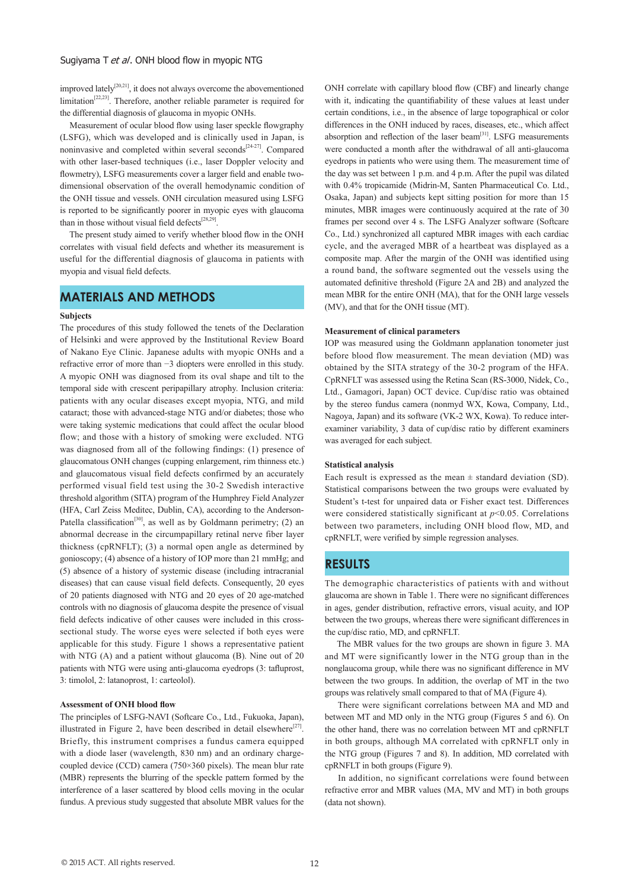improved lately<sup>[20,21]</sup>, it does not always overcome the abovementioned limitation<sup>[22,23]</sup>. Therefore, another reliable parameter is required for the differential diagnosis of glaucoma in myopic ONHs.

 Measurement of ocular blood flow using laser speckle flowgraphy (LSFG), which was developed and is clinically used in Japan, is noninvasive and completed within several seconds $[24-27]$ . Compared with other laser-based techniques (i.e., laser Doppler velocity and flowmetry), LSFG measurements cover a larger field and enable twodimensional observation of the overall hemodynamic condition of the ONH tissue and vessels. ONH circulation measured using LSFG is reported to be significantly poorer in myopic eyes with glaucoma than in those without visual field defects<sup>[28,29]</sup>.

 The present study aimed to verify whether blood flow in the ONH correlates with visual field defects and whether its measurement is useful for the differential diagnosis of glaucoma in patients with myopia and visual field defects.

## **MATERIALS AND METHODS**

#### **Subjects**

The procedures of this study followed the tenets of the Declaration of Helsinki and were approved by the Institutional Review Board of Nakano Eye Clinic. Japanese adults with myopic ONHs and a refractive error of more than −3 diopters were enrolled in this study. A myopic ONH was diagnosed from its oval shape and tilt to the temporal side with crescent peripapillary atrophy. Inclusion criteria: patients with any ocular diseases except myopia, NTG, and mild cataract; those with advanced-stage NTG and/or diabetes; those who were taking systemic medications that could affect the ocular blood flow; and those with a history of smoking were excluded. NTG was diagnosed from all of the following findings: (1) presence of glaucomatous ONH changes (cupping enlargement, rim thinness etc.) and glaucomatous visual field defects confirmed by an accurately performed visual field test using the 30-2 Swedish interactive threshold algorithm (SITA) program of the Humphrey Field Analyzer (HFA, Carl Zeiss Meditec, Dublin, CA), according to the Anderson-Patella classification<sup>[30]</sup>, as well as by Goldmann perimetry; (2) an abnormal decrease in the circumpapillary retinal nerve fiber layer thickness (cpRNFLT); (3) a normal open angle as determined by gonioscopy; (4) absence of a history of IOP more than 21 mmHg; and (5) absence of a history of systemic disease (including intracranial diseases) that can cause visual field defects. Consequently, 20 eyes of 20 patients diagnosed with NTG and 20 eyes of 20 age-matched controls with no diagnosis of glaucoma despite the presence of visual field defects indicative of other causes were included in this crosssectional study. The worse eyes were selected if both eyes were applicable for this study. Figure 1 shows a representative patient with NTG (A) and a patient without glaucoma (B). Nine out of 20 patients with NTG were using anti-glaucoma eyedrops (3: tafluprost, 3: timolol, 2: latanoprost, 1: carteolol).

#### **Assessment of ONH blood flow**

The principles of LSFG-NAVI (Softcare Co., Ltd., Fukuoka, Japan), illustrated in Figure 2, have been described in detail elsewhere $[27]$ . Briefly, this instrument comprises a fundus camera equipped with a diode laser (wavelength, 830 nm) and an ordinary chargecoupled device (CCD) camera (750×360 pixels). The mean blur rate (MBR) represents the blurring of the speckle pattern formed by the interference of a laser scattered by blood cells moving in the ocular fundus. A previous study suggested that absolute MBR values for the

ONH correlate with capillary blood flow (CBF) and linearly change with it, indicating the quantifiability of these values at least under certain conditions, i.e., in the absence of large topographical or color differences in the ONH induced by races, diseases, etc., which affect absorption and reflection of the laser beam<sup>[31]</sup>. LSFG measurements were conducted a month after the withdrawal of all anti-glaucoma eyedrops in patients who were using them. The measurement time of the day was set between 1 p.m. and 4 p.m. After the pupil was dilated with 0.4% tropicamide (Midrin-M, Santen Pharmaceutical Co. Ltd., Osaka, Japan) and subjects kept sitting position for more than 15 minutes, MBR images were continuously acquired at the rate of 30 frames per second over 4 s. The LSFG Analyzer software (Softcare Co., Ltd.) synchronized all captured MBR images with each cardiac cycle, and the averaged MBR of a heartbeat was displayed as a composite map. After the margin of the ONH was identified using a round band, the software segmented out the vessels using the automated definitive threshold (Figure 2A and 2B) and analyzed the mean MBR for the entire ONH (MA), that for the ONH large vessels (MV), and that for the ONH tissue (MT).

#### **Measurement of clinical parameters**

IOP was measured using the Goldmann applanation tonometer just before blood flow measurement. The mean deviation (MD) was obtained by the SITA strategy of the 30-2 program of the HFA. CpRNFLT was assessed using the Retina Scan (RS-3000, Nidek, Co., Ltd., Gamagori, Japan) OCT device. Cup/disc ratio was obtained by the stereo fundus camera (nonmyd WX, Kowa, Company, Ltd., Nagoya, Japan) and its software (VK-2 WX, Kowa). To reduce interexaminer variability, 3 data of cup/disc ratio by different examiners was averaged for each subject.

#### **Statistical analysis**

Each result is expressed as the mean  $\pm$  standard deviation (SD). Statistical comparisons between the two groups were evaluated by Student's t-test for unpaired data or Fisher exact test. Differences were considered statistically significant at *p*<0.05. Correlations between two parameters, including ONH blood flow, MD, and cpRNFLT, were verified by simple regression analyses.

### **RESULTS**

The demographic characteristics of patients with and without glaucoma are shown in Table 1. There were no significant differences in ages, gender distribution, refractive errors, visual acuity, and IOP between the two groups, whereas there were significant differences in the cup/disc ratio, MD, and cpRNFLT.

 The MBR values for the two groups are shown in figure 3. MA and MT were significantly lower in the NTG group than in the nonglaucoma group, while there was no significant difference in MV between the two groups. In addition, the overlap of MT in the two groups was relatively small compared to that of MA (Figure 4).

 There were significant correlations between MA and MD and between MT and MD only in the NTG group (Figures 5 and 6). On the other hand, there was no correlation between MT and cpRNFLT in both groups, although MA correlated with cpRNFLT only in the NTG group (Figures 7 and 8). In addition, MD correlated with cpRNFLT in both groups (Figure 9).

 In addition, no significant correlations were found between refractive error and MBR values (MA, MV and MT) in both groups (data not shown).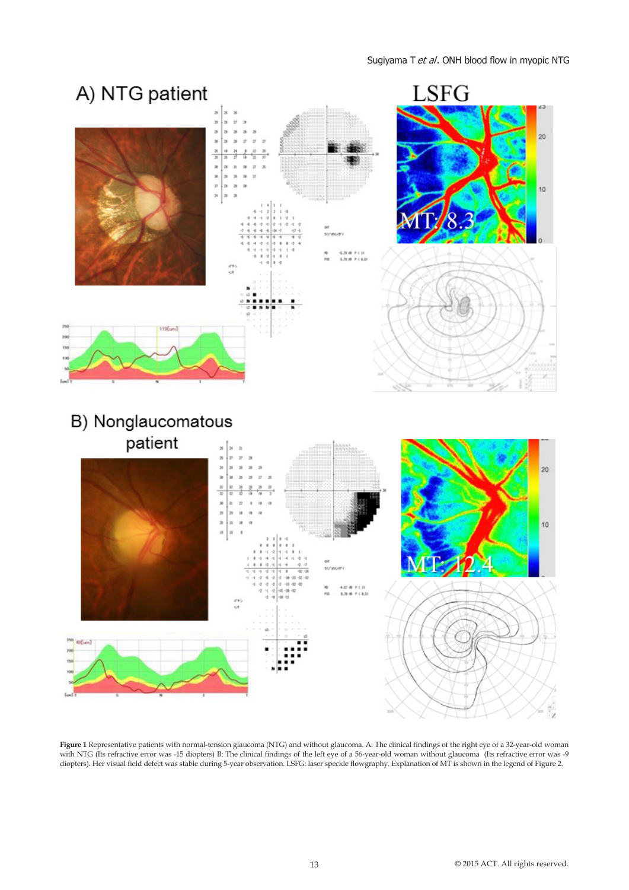

**Figure 1** Representative patients with normal-tension glaucoma (NTG) and without glaucoma. A: The clinical findings of the right eye of a 32-year-old woman with NTG (Its refractive error was -15 diopters) B: The clinical findings of the left eye of a 56-year-old woman without glaucoma (Its refractive error was -9 diopters). Her visual field defect was stable during 5-year observation. LSFG: laser speckle flowgraphy. Explanation of MT is shown in the legend of Figure 2.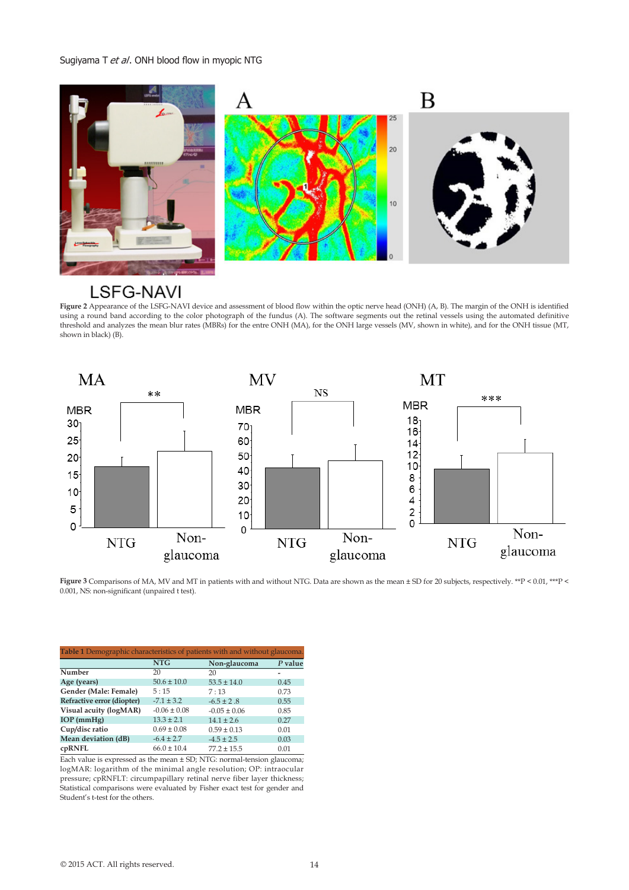

# **LSFG-NAVI**

Figure 2 Appearance of the LSFG-NAVI device and assessment of blood flow within the optic nerve head (ONH) (A, B). The margin of the ONH is identified using a round band according to the color photograph of the fundus (A). The software segments out the retinal vessels using the automated definitive threshold and analyzes the mean blur rates (MBRs) for the entre ONH (MA), for the ONH large vessels (MV, shown in white), and for the ONH tissue (MT, shown in black) (B).



**Figure 3** Comparisons of MA, MV and MT in patients with and without NTG. Data are shown as the mean ± SD for 20 subjects, respectively. \*\*P < 0.01, \*\*\*P < 0.001, NS: non-significant (unpaired t test).

| Table 1 Demographic characteristics of patients with and without glaucoma. |                  |                  |         |
|----------------------------------------------------------------------------|------------------|------------------|---------|
|                                                                            | <b>NTG</b>       | Non-glaucoma     | P value |
| Number                                                                     | 20               | 20               |         |
| Age (years)                                                                | $50.6 \pm 10.0$  | $53.5 \pm 14.0$  | 0.45    |
| Gender (Male: Female)                                                      | 5:15             | 7:13             | 0.73    |
| Refractive error (diopter)                                                 | $-7.1 \pm 3.2$   | $-6.5 \pm 2.8$   | 0.55    |
| Visual acuity (logMAR)                                                     | $-0.06 \pm 0.08$ | $-0.05 \pm 0.06$ | 0.85    |
| $IOP$ (mmHg)                                                               | $13.3 \pm 2.1$   | $14.1 \pm 2.6$   | 0.27    |
| Cup/disc ratio                                                             | $0.69 \pm 0.08$  | $0.59 \pm 0.13$  | 0.01    |
| Mean deviation (dB)                                                        | $-6.4 \pm 2.7$   | $-4.5 \pm 2.5$   | 0.03    |
| cpRNFL                                                                     | $66.0 \pm 10.4$  | $77.2 \pm 15.5$  | 0.01    |

Each value is expressed as the mean ± SD; NTG: normal-tension glaucoma; logMAR: logarithm of the minimal angle resolution; OP: intraocular pressure; cpRNFLT: circumpapillary retinal nerve fiber layer thickness; Statistical comparisons were evaluated by Fisher exact test for gender and Student's t-test for the others.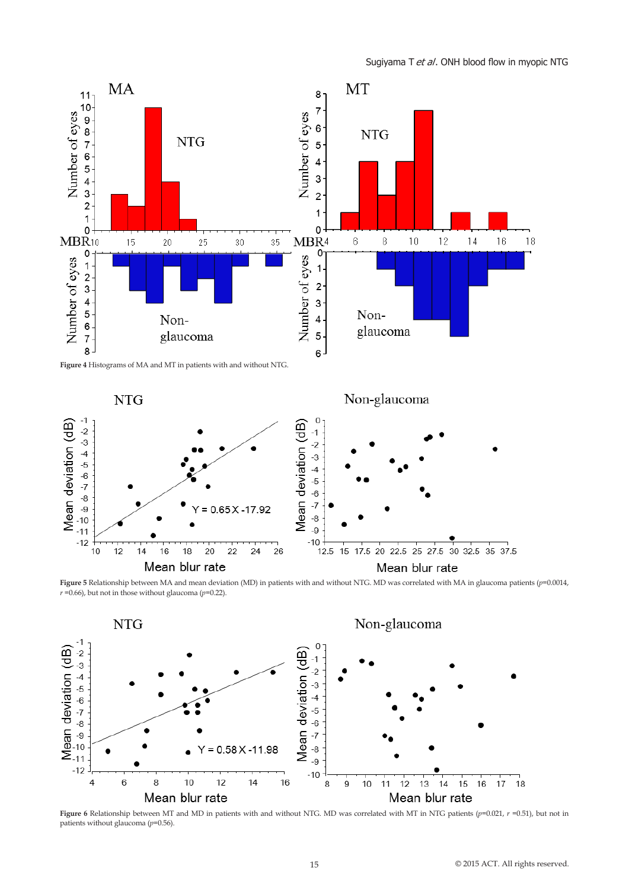

**Figure 5** Relationship between MA and mean deviation (MD) in patients with and without NTG. MD was correlated with MA in glaucoma patients (*p*=0.0014,  $r = 0.66$ ), but not in those without glaucoma ( $p = 0.22$ ).



**Figure 6** Relationship between MT and MD in patients with and without NTG. MD was correlated with MT in NTG patients (*p*=0.021, *r* =0.51), but not in patients without glaucoma (*p*=0.56).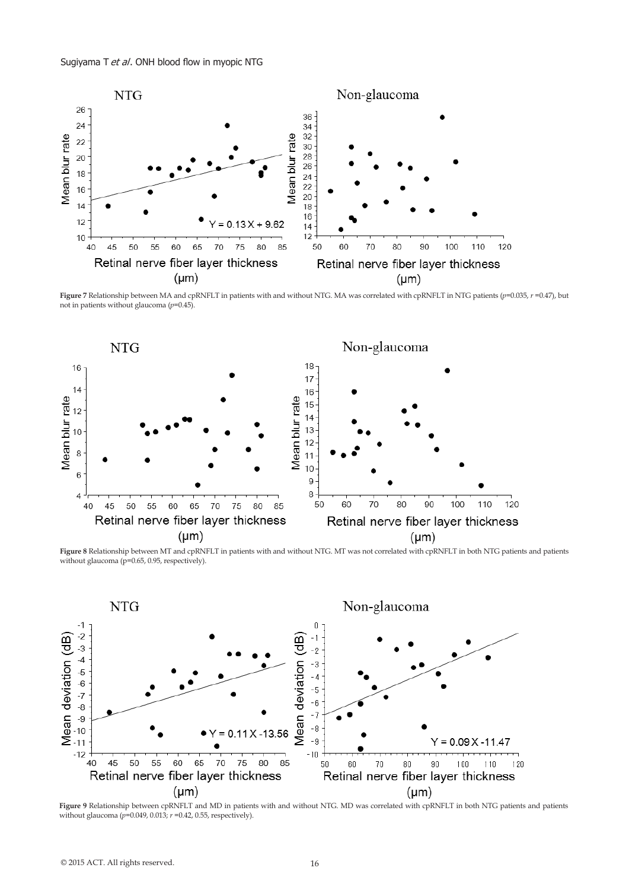

**Figure 7** Relationship between MA and cpRNFLT in patients with and without NTG. MA was correlated with cpRNFLT in NTG patients (*p*=0.035, *r* =0.47), but not in patients without glaucoma (*p*=0.45).



**Figure 8** Relationship between MT and cpRNFLT in patients with and without NTG. MT was not correlated with cpRNFLT in both NTG patients and patients without glaucoma ( $p=0.65$ , 0.95, respectively).



**Figure 9** Relationship between cpRNFLT and MD in patients with and without NTG. MD was correlated with cpRNFLT in both NTG patients and patients without glaucoma (*p*=0.049, 0.013; *r* =0.42, 0.55, respectively).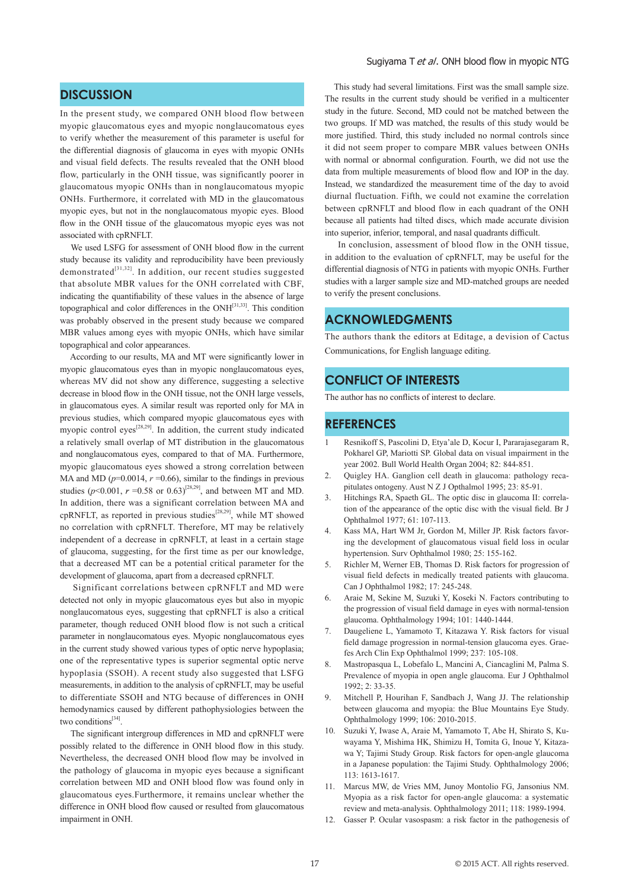## **DISCUSSION**

In the present study, we compared ONH blood flow between myopic glaucomatous eyes and myopic nonglaucomatous eyes to verify whether the measurement of this parameter is useful for the differential diagnosis of glaucoma in eyes with myopic ONHs and visual field defects. The results revealed that the ONH blood flow, particularly in the ONH tissue, was significantly poorer in glaucomatous myopic ONHs than in nonglaucomatous myopic ONHs. Furthermore, it correlated with MD in the glaucomatous myopic eyes, but not in the nonglaucomatous myopic eyes. Blood flow in the ONH tissue of the glaucomatous myopic eyes was not associated with cpRNFLT.

 We used LSFG for assessment of ONH blood flow in the current study because its validity and reproducibility have been previously  $d$ emonstrated<sup>[31,32]</sup>. In addition, our recent studies suggested that absolute MBR values for the ONH correlated with CBF, indicating the quantifiability of these values in the absence of large topographical and color differences in the ONH[31,33]. This condition was probably observed in the present study because we compared MBR values among eyes with myopic ONHs, which have similar topographical and color appearances.

 According to our results, MA and MT were significantly lower in myopic glaucomatous eyes than in myopic nonglaucomatous eyes, whereas MV did not show any difference, suggesting a selective decrease in blood flow in the ONH tissue, not the ONH large vessels, in glaucomatous eyes. A similar result was reported only for MA in previous studies, which compared myopic glaucomatous eyes with myopic control eyes<sup>[28,29]</sup>. In addition, the current study indicated a relatively small overlap of MT distribution in the glaucomatous and nonglaucomatous eyes, compared to that of MA. Furthermore, myopic glaucomatous eyes showed a strong correlation between MA and MD ( $p=0.0014$ ,  $r=0.66$ ), similar to the findings in previous studies ( $p$ <0.001,  $r = 0.58$  or 0.63)<sup>[28,29]</sup>, and between MT and MD. In addition, there was a significant correlation between MA and cpRNFLT, as reported in previous studies<sup>[28,29]</sup>, while MT showed no correlation with cpRNFLT. Therefore, MT may be relatively independent of a decrease in cpRNFLT, at least in a certain stage of glaucoma, suggesting, for the first time as per our knowledge, that a decreased MT can be a potential critical parameter for the development of glaucoma, apart from a decreased cpRNFLT.

 Significant correlations between cpRNFLT and MD were detected not only in myopic glaucomatous eyes but also in myopic nonglaucomatous eyes, suggesting that cpRNFLT is also a critical parameter, though reduced ONH blood flow is not such a critical parameter in nonglaucomatous eyes. Myopic nonglaucomatous eyes in the current study showed various types of optic nerve hypoplasia; one of the representative types is superior segmental optic nerve hypoplasia (SSOH). A recent study also suggested that LSFG measurements, in addition to the analysis of cpRNFLT, may be useful to differentiate SSOH and NTG because of differences in ONH hemodynamics caused by different pathophysiologies between the two conditions<sup>[34]</sup>.

 The significant intergroup differences in MD and cpRNFLT were possibly related to the difference in ONH blood flow in this study. Nevertheless, the decreased ONH blood flow may be involved in the pathology of glaucoma in myopic eyes because a significant correlation between MD and ONH blood flow was found only in glaucomatous eyes.Furthermore, it remains unclear whether the difference in ONH blood flow caused or resulted from glaucomatous impairment in ONH.

#### Sugiyama T et al. ONH blood flow in myopic NTG

 This study had several limitations. First was the small sample size. The results in the current study should be verified in a multicenter study in the future. Second, MD could not be matched between the two groups. If MD was matched, the results of this study would be more justified. Third, this study included no normal controls since it did not seem proper to compare MBR values between ONHs with normal or abnormal configuration. Fourth, we did not use the data from multiple measurements of blood flow and IOP in the day. Instead, we standardized the measurement time of the day to avoid diurnal fluctuation. Fifth, we could not examine the correlation between cpRNFLT and blood flow in each quadrant of the ONH because all patients had tilted discs, which made accurate division into superior, inferior, temporal, and nasal quadrants difficult.

 In conclusion, assessment of blood flow in the ONH tissue, in addition to the evaluation of cpRNFLT, may be useful for the differential diagnosis of NTG in patients with myopic ONHs. Further studies with a larger sample size and MD-matched groups are needed to verify the present conclusions.

# **ACKNOWLEDGMENTS**

The authors thank the editors at Editage, a devision of Cactus Communications, for English language editing.

### **CONFLICT OF INTERESTS**

The author has no conflicts of interest to declare.

### **REFERENCES**

- 1 Resnikoff S, Pascolini D, Etya'ale D, Kocur I, Pararajasegaram R, Pokharel GP, Mariotti SP. Global data on visual impairment in the year 2002. Bull World Health Organ 2004; 82: 844-851.
- 2. Quigley HA. Ganglion cell death in glaucoma: pathology recapitulates ontogeny. Aust N Z J Opthalmol 1995; 23: 85-91.
- 3. Hitchings RA, Spaeth GL. The optic disc in glaucoma II: correlation of the appearance of the optic disc with the visual field. Br J Ophthalmol 1977; 61: 107-113.
- 4. Kass MA, Hart WM Jr, Gordon M, Miller JP. Risk factors favoring the development of glaucomatous visual field loss in ocular hypertension. Surv Ophthalmol 1980; 25: 155-162.
- 5. Richler M, Werner EB, Thomas D. Risk factors for progression of visual field defects in medically treated patients with glaucoma. Can J Ophthalmol 1982; 17: 245-248.
- 6. Araie M, Sekine M, Suzuki Y, Koseki N. Factors contributing to the progression of visual field damage in eyes with normal-tension glaucoma. Ophthalmology 1994; 101: 1440-1444.
- 7. Daugeliene L, Yamamoto T, Kitazawa Y. Risk factors for visual field damage progression in normal-tension glaucoma eyes. Graefes Arch Clin Exp Ophthalmol 1999; 237: 105-108.
- 8. Mastropasqua L, Lobefalo L, Mancini A, Ciancaglini M, Palma S. Prevalence of myopia in open angle glaucoma. Eur J Ophthalmol 1992; 2: 33-35.
- 9. Mitchell P, Hourihan F, Sandbach J, Wang JJ. The relationship between glaucoma and myopia: the Blue Mountains Eye Study. Ophthalmology 1999; 106: 2010-2015.
- 10. Suzuki Y, Iwase A, Araie M, Yamamoto T, Abe H, Shirato S, Kuwayama Y, Mishima HK, Shimizu H, Tomita G, Inoue Y, Kitazawa Y; Tajimi Study Group. Risk factors for open-angle glaucoma in a Japanese population: the Tajimi Study. Ophthalmology 2006; 113: 1613-1617.
- 11. Marcus MW, de Vries MM, Junoy Montolio FG, Jansonius NM. Myopia as a risk factor for open-angle glaucoma: a systematic review and meta-analysis. Ophthalmology 2011; 118: 1989-1994.
- 12. Gasser P. Ocular vasospasm: a risk factor in the pathogenesis of